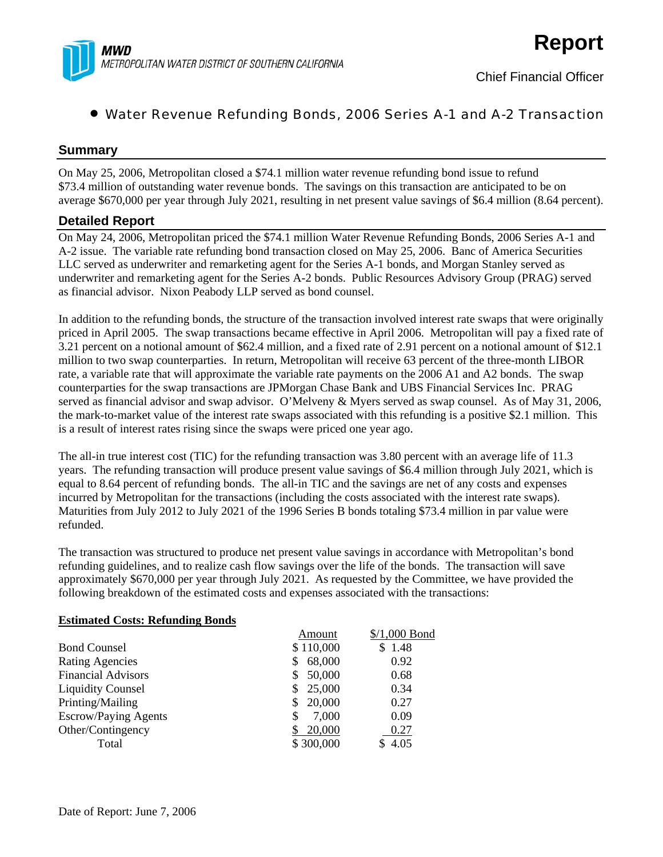

# • Water Revenue Refunding Bonds, 2006 Series A-1 and A-2 Transaction

## **Summary**

On May 25, 2006, Metropolitan closed a \$74.1 million water revenue refunding bond issue to refund \$73.4 million of outstanding water revenue bonds. The savings on this transaction are anticipated to be on average \$670,000 per year through July 2021, resulting in net present value savings of \$6.4 million (8.64 percent).

### **Detailed Report**

On May 24, 2006, Metropolitan priced the \$74.1 million Water Revenue Refunding Bonds, 2006 Series A-1 and A-2 issue. The variable rate refunding bond transaction closed on May 25, 2006. Banc of America Securities LLC served as underwriter and remarketing agent for the Series A-1 bonds, and Morgan Stanley served as underwriter and remarketing agent for the Series A-2 bonds. Public Resources Advisory Group (PRAG) served as financial advisor. Nixon Peabody LLP served as bond counsel.

In addition to the refunding bonds, the structure of the transaction involved interest rate swaps that were originally priced in April 2005. The swap transactions became effective in April 2006. Metropolitan will pay a fixed rate of 3.21 percent on a notional amount of \$62.4 million, and a fixed rate of 2.91 percent on a notional amount of \$12.1 million to two swap counterparties. In return, Metropolitan will receive 63 percent of the three-month LIBOR rate, a variable rate that will approximate the variable rate payments on the 2006 A1 and A2 bonds. The swap counterparties for the swap transactions are JPMorgan Chase Bank and UBS Financial Services Inc. PRAG served as financial advisor and swap advisor. O'Melveny & Myers served as swap counsel. As of May 31, 2006, the mark-to-market value of the interest rate swaps associated with this refunding is a positive \$2.1 million. This is a result of interest rates rising since the swaps were priced one year ago.

The all-in true interest cost (TIC) for the refunding transaction was 3.80 percent with an average life of 11.3 years. The refunding transaction will produce present value savings of \$6.4 million through July 2021, which is equal to 8.64 percent of refunding bonds. The all-in TIC and the savings are net of any costs and expenses incurred by Metropolitan for the transactions (including the costs associated with the interest rate swaps). Maturities from July 2012 to July 2021 of the 1996 Series B bonds totaling \$73.4 million in par value were refunded.

The transaction was structured to produce net present value savings in accordance with Metropolitan's bond refunding guidelines, and to realize cash flow savings over the life of the bonds. The transaction will save approximately \$670,000 per year through July 2021. As requested by the Committee, we have provided the following breakdown of the estimated costs and expenses associated with the transactions:

### **Estimated Costs: Refunding Bonds**

|                           | Amount       | $$/1,000$ Bond |
|---------------------------|--------------|----------------|
| <b>Bond Counsel</b>       | \$110,000    | \$1.48         |
| <b>Rating Agencies</b>    | 68,000       | 0.92           |
| <b>Financial Advisors</b> | 50,000       | 0.68           |
| <b>Liquidity Counsel</b>  | 25,000<br>S. | 0.34           |
| Printing/Mailing          | 20,000       | 0.27           |
| Escrow/Paying Agents      | 7,000        | 0.09           |
| Other/Contingency         | 20,000       | 0.27           |
| Total                     | \$300,000    | \$4.05         |
|                           |              |                |